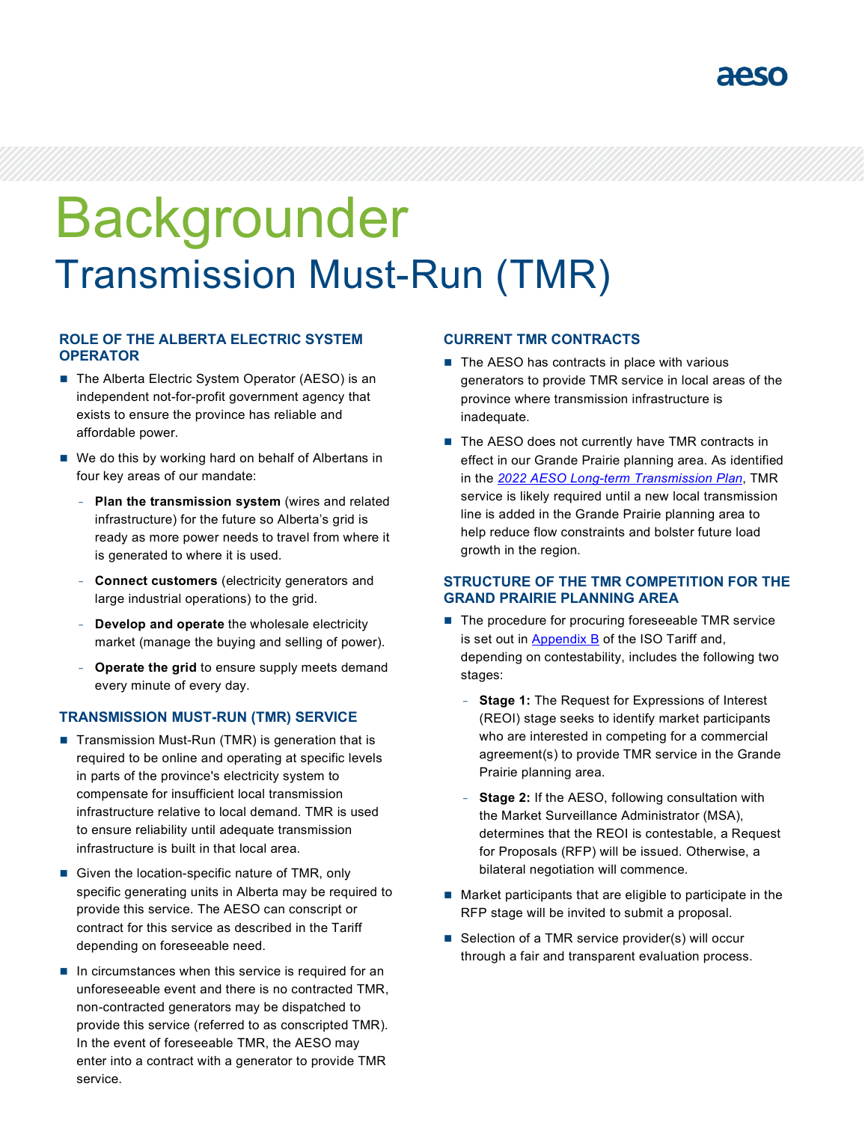

# Backgrounder Transmission Must-Run (TMR)

## **ROLE OF THE ALBERTA ELECTRIC SYSTEM OPERATOR**

- The Alberta Electric System Operator (AESO) is an independent not-for-profit government agency that exists to ensure the province has reliable and affordable power.
- We do this by working hard on behalf of Albertans in four key areas of our mandate:
	- **Plan the transmission system** (wires and related infrastructure) for the future so Alberta's grid is ready as more power needs to travel from where it is generated to where it is used.
	- **Connect customers** (electricity generators and large industrial operations) to the grid.
	- **Develop and operate** the wholesale electricity market (manage the buying and selling of power).
	- **Operate the grid** to ensure supply meets demand every minute of every day.

### **TRANSMISSION MUST-RUN (TMR) SERVICE**

- $\blacksquare$  Transmission Must-Run (TMR) is generation that is required to be online and operating at specific levels in parts of the province's electricity system to compensate for insufficient local transmission infrastructure relative to local demand. TMR is used to ensure reliability until adequate transmission infrastructure is built in that local area.
- Given the location-specific nature of TMR, only specific generating units in Alberta may be required to provide this service. The AESO can conscript or contract for this service as described in the Tariff depending on foreseeable need.
- $\blacksquare$  In circumstances when this service is required for an unforeseeable event and there is no contracted TMR, non-contracted generators may be dispatched to provide this service (referred to as conscripted TMR). In the event of foreseeable TMR, the AESO may enter into a contract with a generator to provide TMR service.

#### **CURRENT TMR CONTRACTS**

- $\blacksquare$  The AESO has contracts in place with various generators to provide TMR service in local areas of the province where transmission infrastructure is inadequate.
- The AESO does not currently have TMR contracts in effect in our Grande Prairie planning area. As identified in the *2022 AESO [Long-term Transmission Plan](https://www.aeso.ca/assets/Uploads/grid/ltp/AESO-2022-Long-term-Transmission-Plan.pdf)*, TMR service is likely required until a new local transmission line is added in the Grande Prairie planning area to help reduce flow constraints and bolster future load growth in the region.

### **STRUCTURE OF THE TMR COMPETITION FOR THE GRAND PRAIRIE PLANNING AREA**

- The procedure for procuring foreseeable TMR service is set out in [Appendix B](https://www.aeso.ca/rules-standards-and-tariff/tariff/appendix-b-procedure-for-foreseeable-transmission-must-run-service/) of the ISO Tariff and, depending on contestability, includes the following two stages:
	- **Stage 1:** The Request for Expressions of Interest (REOI) stage seeks to identify market participants who are interested in competing for a commercial agreement(s) to provide TMR service in the Grande Prairie planning area.
	- **Stage 2:** If the AESO, following consultation with the Market Surveillance Administrator (MSA), determines that the REOI is contestable, a Request for Proposals (RFP) will be issued. Otherwise, a bilateral negotiation will commence.
- Market participants that are eligible to participate in the RFP stage will be invited to submit a proposal.
- Selection of a TMR service provider(s) will occur through a fair and transparent evaluation process.